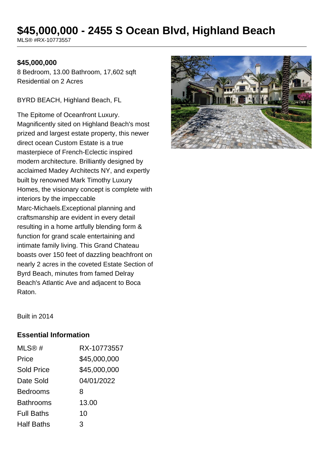# **\$45,000,000 - 2455 S Ocean Blvd, Highland Beach**

MLS® #RX-10773557

#### **\$45,000,000**

8 Bedroom, 13.00 Bathroom, 17,602 sqft Residential on 2 Acres

BYRD BEACH, Highland Beach, FL

The Epitome of Oceanfront Luxury. Magnificently sited on Highland Beach's most prized and largest estate property, this newer direct ocean Custom Estate is a true masterpiece of French-Eclectic inspired modern architecture. Brilliantly designed by acclaimed Madey Architects NY, and expertly built by renowned Mark Timothy Luxury Homes, the visionary concept is complete with interiors by the impeccable Marc-Michaels.Exceptional planning and craftsmanship are evident in every detail resulting in a home artfully blending form & function for grand scale entertaining and intimate family living. This Grand Chateau boasts over 150 feet of dazzling beachfront on nearly 2 acres in the coveted Estate Section of Byrd Beach, minutes from famed Delray Beach's Atlantic Ave and adjacent to Boca Raton.



Built in 2014

### **Essential Information**

| MLS@#             | RX-10773557  |
|-------------------|--------------|
| Price             | \$45,000,000 |
| <b>Sold Price</b> | \$45,000,000 |
| Date Sold         | 04/01/2022   |
| <b>Bedrooms</b>   | 8            |
| <b>Bathrooms</b>  | 13.00        |
| <b>Full Baths</b> | 10           |
| <b>Half Baths</b> | 3            |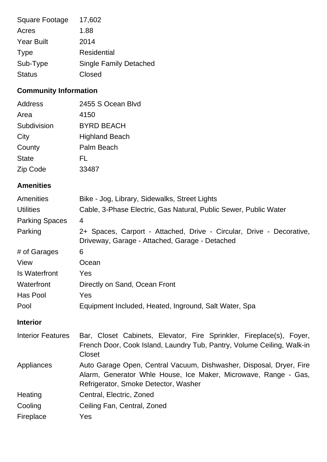| Square Footage    | 17,602                        |
|-------------------|-------------------------------|
| Acres             | 1.88                          |
| <b>Year Built</b> | 2014                          |
| <b>Type</b>       | Residential                   |
| Sub-Type          | <b>Single Family Detached</b> |
| <b>Status</b>     | Closed                        |

## **Community Information**

| Address      | 2455 S Ocean Blvd     |
|--------------|-----------------------|
| Area         | 4150                  |
| Subdivision  | <b>BYRD BEACH</b>     |
| City         | <b>Highland Beach</b> |
| County       | Palm Beach            |
| <b>State</b> | FL                    |
| Zip Code     | 33487                 |

### **Amenities**

| Amenities                | Bike - Jog, Library, Sidewalks, Street Lights                                                                                                                                  |
|--------------------------|--------------------------------------------------------------------------------------------------------------------------------------------------------------------------------|
| <b>Utilities</b>         | Cable, 3-Phase Electric, Gas Natural, Public Sewer, Public Water                                                                                                               |
| <b>Parking Spaces</b>    | 4                                                                                                                                                                              |
| Parking                  | 2+ Spaces, Carport - Attached, Drive - Circular, Drive - Decorative,<br>Driveway, Garage - Attached, Garage - Detached                                                         |
| # of Garages             | 6                                                                                                                                                                              |
| View                     | Ocean                                                                                                                                                                          |
| Is Waterfront            | Yes                                                                                                                                                                            |
| Waterfront               | Directly on Sand, Ocean Front                                                                                                                                                  |
| Has Pool                 | Yes                                                                                                                                                                            |
| Pool                     | Equipment Included, Heated, Inground, Salt Water, Spa                                                                                                                          |
| <b>Interior</b>          |                                                                                                                                                                                |
| <b>Interior Features</b> | Bar, Closet Cabinets, Elevator, Fire Sprinkler, Fireplace(s), Foyer,<br>French Door, Cook Island, Laundry Tub, Pantry, Volume Ceiling, Walk-in<br><b>Closet</b>                |
| Appliances               | Auto Garage Open, Central Vacuum, Dishwasher, Disposal, Dryer, Fire<br>Alarm, Generator Whle House, Ice Maker, Microwave, Range - Gas,<br>Refrigerator, Smoke Detector, Washer |
| Heating                  | Central, Electric, Zoned                                                                                                                                                       |
| Cooling                  | Ceiling Fan, Central, Zoned                                                                                                                                                    |
| Fireplace                | Yes                                                                                                                                                                            |